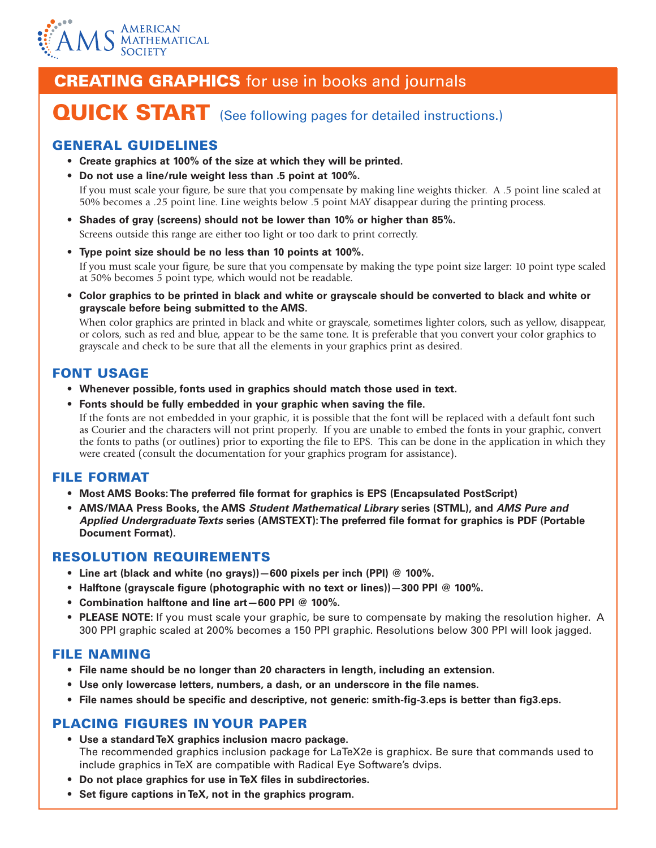

# **CREATING GRAPHICS** for use in books and journals

# QUICK START (See following pages for detailed instructions.)

# GENERAL GUIDELINES

- **• Create graphics at 100% of the size at which they will be printed.**
- **• Do not use a line/rule weight less than .5 point at 100%.**

If you must scale your figure, be sure that you compensate by making line weights thicker. A .5 point line scaled at 50% becomes a .25 point line. Line weights below .5 point MAY disappear during the printing process.

- **• Shades of gray (screens) should not be lower than 10% or higher than 85%.** Screens outside this range are either too light or too dark to print correctly.
- **• Type point size should be no less than 10 points at 100%.**

If you must scale your figure, be sure that you compensate by making the type point size larger: 10 point type scaled at 50% becomes 5 point type, which would not be readable.

**• Color graphics to be printed in black and white or grayscale should be converted to black and white or grayscale before being submitted to the AMS.**

When color graphics are printed in black and white or grayscale, sometimes lighter colors, such as yellow, disappear, or colors, such as red and blue, appear to be the same tone. It is preferable that you convert your color graphics to grayscale and check to be sure that all the elements in your graphics print as desired.

# FONT USAGE

- **• Whenever possible, fonts used in graphics should match those used in text.**
- **• Fonts should be fully embedded in your graphic when saving the file.** If the fonts are not embedded in your graphic, it is possible that the font will be replaced with a default font such as Courier and the characters will not print properly. If you are unable to embed the fonts in your graphic, convert the fonts to paths (or outlines) prior to exporting the file to EPS. This can be done in the application in which they were created (consult the documentation for your graphics program for assistance).

# FILE FORMAT

- **• Most AMS Books: The preferred file format for graphics is EPS (Encapsulated PostScript)**
- **• AMS/MAA Press Books, the AMS** *Student Mathematical Library* **series (STML), and** *AMS Pure and Applied Undergraduate Texts* **series (AMSTEXT): The preferred file format for graphics is PDF (Portable Document Format).**

## RESOLUTION REQUIREMENTS

- **• Line art (black and white (no grays))—600 pixels per inch (PPI) @ 100%.**
- **• Halftone (grayscale figure (photographic with no text or lines))—300 PPI @ 100%.**
- **• Combination halftone and line art—600 PPI @ 100%.**
- **PLEASE NOTE:** If you must scale your graphic, be sure to compensate by making the resolution higher. A 300 PPI graphic scaled at 200% becomes a 150 PPI graphic. Resolutions below 300 PPI will look jagged.

# FILE NAMING

- **• File name should be no longer than 20 characters in length, including an extension.**
- **• Use only lowercase letters, numbers, a dash, or an underscore in the file names.**
- **• File names should be specific and descriptive, not generic: smith-fig-3.eps is better than fig3.eps.**

## PLACING FIGURES IN YOUR PAPER

- **• Use a standard TeX graphics inclusion macro package.** The recommended graphics inclusion package for LaTeX2e is graphicx. Be sure that commands used to include graphics in TeX are compatible with Radical Eye Software's dvips.
- **• Do not place graphics for use in TeX files in subdirectories.**
- **• Set figure captions in TeX, not in the graphics program.**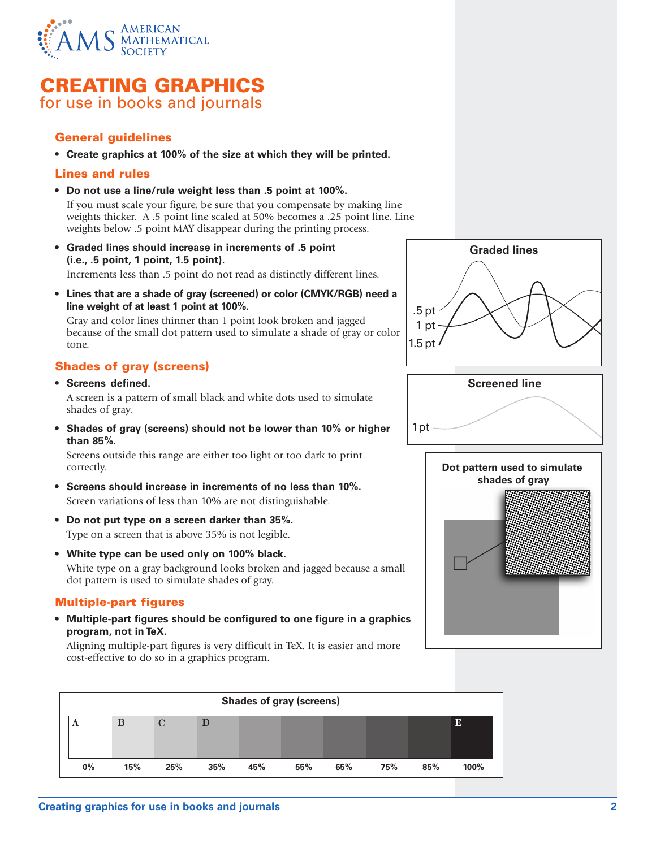

# CREATING GRAPHICS for use in books and journals

## General guidelines

**• Create graphics at 100% of the size at which they will be printed.**

#### Lines and rules

**• Do not use a line/rule weight less than .5 point at 100%.** 

If you must scale your figure, be sure that you compensate by making line weights thicker. A .5 point line scaled at 50% becomes a .25 point line. Line weights below .5 point MAY disappear during the printing process.

- **• Graded lines should increase in increments of .5 point (i.e., .5 point, 1 point, 1.5 point).** Increments less than .5 point do not read as distinctly different lines.
- **• Lines that are a shade of gray (screened) or color (CMYK/RGB) need a line weight of at least 1 point at 100%.**

Gray and color lines thinner than 1 point look broken and jagged because of the small dot pattern used to simulate a shade of gray or color tone.

## Shades of gray (screens)

**• Screens defined.**

A screen is a pattern of small black and white dots used to simulate shades of gray.

**• Shades of gray (screens) should not be lower than 10% or higher than 85%.**

Screens outside this range are either too light or too dark to print correctly.

- **• Screens should increase in increments of no less than 10%.** Screen variations of less than 10% are not distinguishable.
- **• Do not put type on a screen darker than 35%.** Type on a screen that is above 35% is not legible.
- **• White type can be used only on 100% black.** White type on a gray background looks broken and jagged because a small dot pattern is used to simulate shades of gray.

## Multiple-part figures

**• Multiple-part figures should be configured to one figure in a graphics program, not in TeX.**

Aligning multiple-part figures is very difficult in TeX. It is easier and more cost-effective to do so in a graphics program.







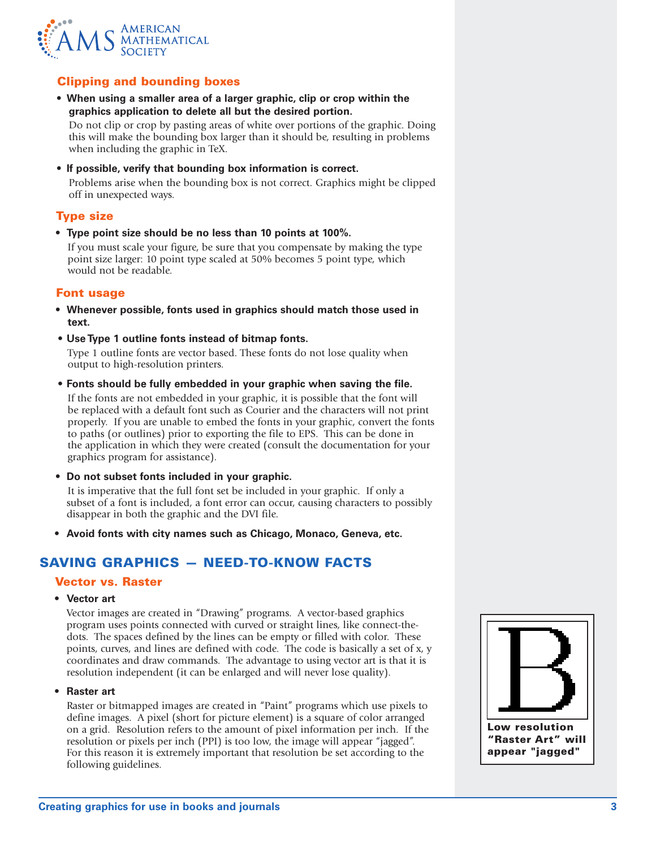

## Clipping and bounding boxes

**• When using a smaller area of a larger graphic, clip or crop within the graphics application to delete all but the desired portion.**

Do not clip or crop by pasting areas of white over portions of the graphic. Doing this will make the bounding box larger than it should be, resulting in problems when including the graphic in TeX.

**• If possible, verify that bounding box information is correct.**

Problems arise when the bounding box is not correct. Graphics might be clipped off in unexpected ways.

#### Type size

**• Type point size should be no less than 10 points at 100%.**

If you must scale your figure, be sure that you compensate by making the type point size larger: 10 point type scaled at 50% becomes 5 point type, which would not be readable.

#### Font usage

- **• Whenever possible, fonts used in graphics should match those used in text.**
- **• Use Type 1 outline fonts instead of bitmap fonts.**

Type 1 outline fonts are vector based. These fonts do not lose quality when output to high-resolution printers.

**• Fonts should be fully embedded in your graphic when saving the file.**

If the fonts are not embedded in your graphic, it is possible that the font will be replaced with a default font such as Courier and the characters will not print properly. If you are unable to embed the fonts in your graphic, convert the fonts to paths (or outlines) prior to exporting the file to EPS. This can be done in the application in which they were created (consult the documentation for your graphics program for assistance).

**• Do not subset fonts included in your graphic.**

It is imperative that the full font set be included in your graphic. If only a subset of a font is included, a font error can occur, causing characters to possibly disappear in both the graphic and the DVI file.

**• Avoid fonts with city names such as Chicago, Monaco, Geneva, etc.**

## SAVING GRAPHICS — NEED-TO-KNOW FACTS

#### Vector vs. Raster

**• Vector art**

Vector images are created in "Drawing" programs. A vector-based graphics program uses points connected with curved or straight lines, like connect-thedots. The spaces defined by the lines can be empty or filled with color. These points, curves, and lines are defined with code. The code is basically a set of x, y coordinates and draw commands. The advantage to using vector art is that it is resolution independent (it can be enlarged and will never lose quality).

**• Raster art**

Raster or bitmapped images are created in "Paint" programs which use pixels to define images. A pixel (short for picture element) is a square of color arranged on a grid. Resolution refers to the amount of pixel information per inch. If the resolution or pixels per inch (PPI) is too low, the image will appear "jagged". For this reason it is extremely important that resolution be set according to the following guidelines.

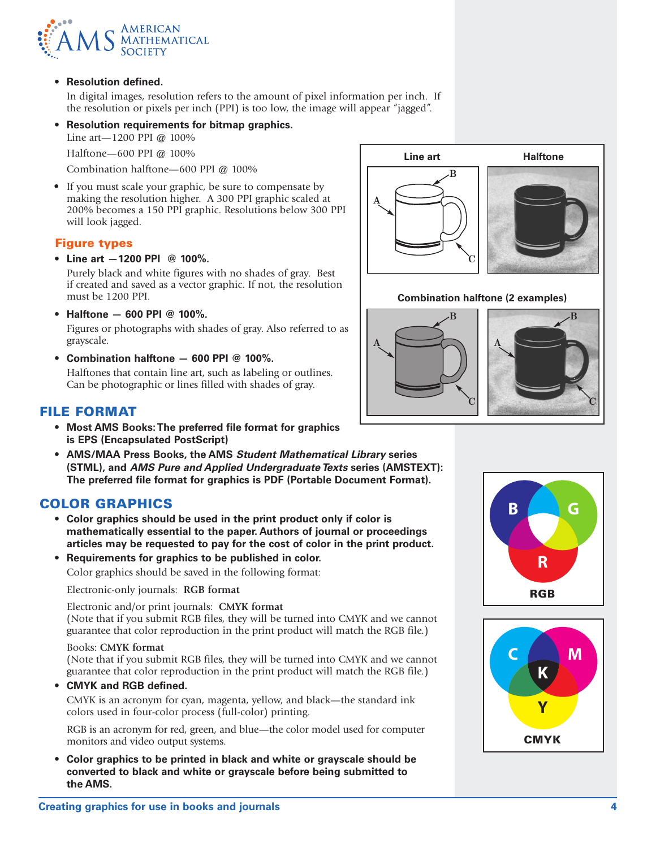

**• Resolution defined.**

In digital images, resolution refers to the amount of pixel information per inch. If the resolution or pixels per inch (PPI) is too low, the image will appear "jagged".

**• Resolution requirements for bitmap graphics.**

Line art—1200 PPI @ 100%

Halftone—600 PPI @ 100%

Combination halftone—600 PPI @ 100%

**•** If you must scale your graphic, be sure to compensate by making the resolution higher. A 300 PPI graphic scaled at 200% becomes a 150 PPI graphic. Resolutions below 300 PPI will look jagged.

#### Figure types

**• Line art —1200 PPI @ 100%.**

Purely black and white figures with no shades of gray. Best if created and saved as a vector graphic. If not, the resolution must be 1200 PPI.

**• Halftone — 600 PPI @ 100%.**

Figures or photographs with shades of gray. Also referred to as grayscale.

**• Combination halftone — 600 PPI @ 100%.** Halftones that contain line art, such as labeling or outlines. Can be photographic or lines filled with shades of gray.

## FILE FORMAT

- **• Most AMS Books: The preferred file format for graphics is EPS (Encapsulated PostScript)**
- **• AMS/MAA Press Books, the AMS** *Student Mathematical Library* **series (STML), and** *AMS Pure and Applied Undergraduate Texts* **series (AMSTEXT): The preferred file format for graphics is PDF (Portable Document Format).**

## COLOR GRAPHICS

- **• Color graphics should be used in the print product only if color is mathematically essential to the paper. Authors of journal or proceedings articles may be requested to pay for the cost of color in the print product.**
- **• Requirements for graphics to be published in color.** Color graphics should be saved in the following format:

Electronic-only journals: **RGB format**

Electronic and/or print journals: **CMYK format**  (Note that if you submit RGB files, they will be turned into CMYK and we cannot guarantee that color reproduction in the print product will match the RGB file.)

#### Books: **CMYK format**

(Note that if you submit RGB files, they will be turned into CMYK and we cannot guarantee that color reproduction in the print product will match the RGB file.)

**• CMYK and RGB defined.**

CMYK is an acronym for cyan, magenta, yellow, and black—the standard ink colors used in four-color process (full-color) printing.

RGB is an acronym for red, green, and blue—the color model used for computer monitors and video output systems.

**• Color graphics to be printed in black and white or grayscale should be converted to black and white or grayscale before being submitted to the AMS.**



#### **Combination halftone (2 examples)**





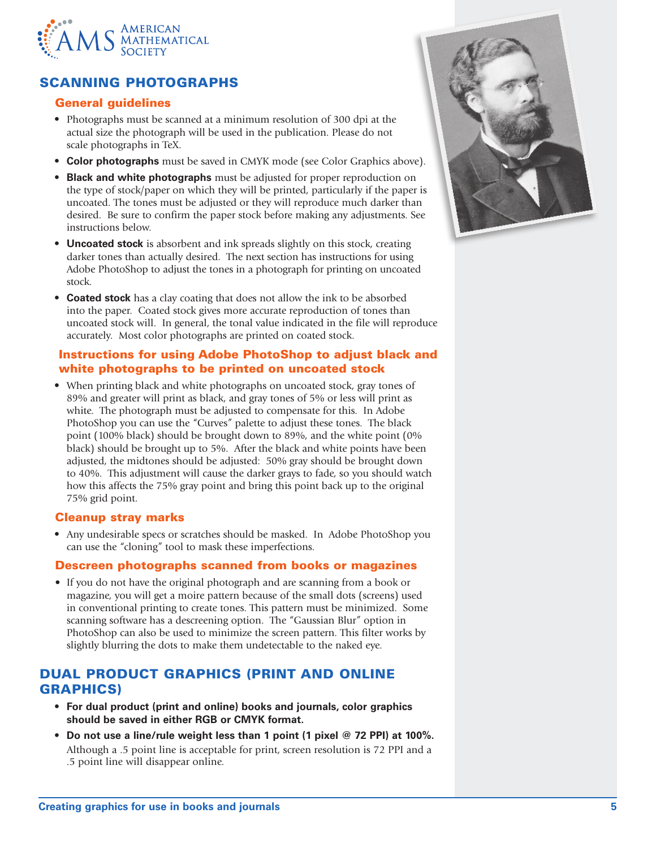

# SCANNING PHOTOGRAPHS

### General guidelines

- **•** Photographs must be scanned at a minimum resolution of 300 dpi at the actual size the photograph will be used in the publication. Please do not scale photographs in TeX.
- **• Color photographs** must be saved in CMYK mode (see Color Graphics above).
- **• Black and white photographs** must be adjusted for proper reproduction on the type of stock/paper on which they will be printed, particularly if the paper is uncoated. The tones must be adjusted or they will reproduce much darker than desired. Be sure to confirm the paper stock before making any adjustments. See instructions below.
- **• Uncoated stock** is absorbent and ink spreads slightly on this stock, creating darker tones than actually desired. The next section has instructions for using Adobe PhotoShop to adjust the tones in a photograph for printing on uncoated stock.
- **• Coated stock** has a clay coating that does not allow the ink to be absorbed into the paper. Coated stock gives more accurate reproduction of tones than uncoated stock will. In general, the tonal value indicated in the file will reproduce accurately. Most color photographs are printed on coated stock.

### Instructions for using Adobe PhotoShop to adjust black and white photographs to be printed on uncoated stock

**•** When printing black and white photographs on uncoated stock, gray tones of 89% and greater will print as black, and gray tones of 5% or less will print as white. The photograph must be adjusted to compensate for this. In Adobe PhotoShop you can use the "Curves" palette to adjust these tones. The black point (100% black) should be brought down to 89%, and the white point (0% black) should be brought up to 5%. After the black and white points have been adjusted, the midtones should be adjusted: 50% gray should be brought down to 40%. This adjustment will cause the darker grays to fade, so you should watch how this affects the 75% gray point and bring this point back up to the original 75% grid point.

#### Cleanup stray marks

**•** Any undesirable specs or scratches should be masked. In Adobe PhotoShop you can use the "cloning" tool to mask these imperfections.

#### Descreen photographs scanned from books or magazines

**•** If you do not have the original photograph and are scanning from a book or magazine, you will get a moire pattern because of the small dots (screens) used in conventional printing to create tones. This pattern must be minimized. Some scanning software has a descreening option. The "Gaussian Blur" option in PhotoShop can also be used to minimize the screen pattern. This filter works by slightly blurring the dots to make them undetectable to the naked eye.

## DUAL PRODUCT GRAPHICS (PRINT AND ONLINE GRAPHICS)

- **• For dual product (print and online) books and journals, color graphics should be saved in either RGB or CMYK format.**
- **• Do not use a line/rule weight less than 1 point (1 pixel @ 72 PPI) at 100%.** Although a .5 point line is acceptable for print, screen resolution is 72 PPI and a .5 point line will disappear online.

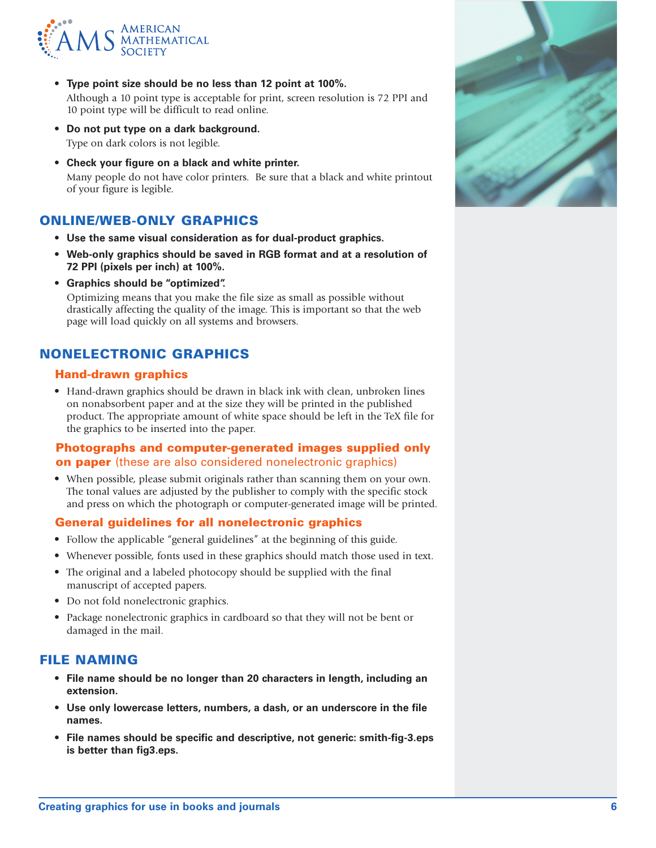

- **• Type point size should be no less than 12 point at 100%.** Although a 10 point type is acceptable for print, screen resolution is 72 PPI and 10 point type will be difficult to read online.
- **• Do not put type on a dark background.** Type on dark colors is not legible.
- **• Check your figure on a black and white printer.** Many people do not have color printers. Be sure that a black and white printout of your figure is legible.

## ONLINE/WEB-ONLY GRAPHICS

- **• Use the same visual consideration as for dual-product graphics.**
- **• Web-only graphics should be saved in RGB format and at a resolution of 72 PPI (pixels per inch) at 100%.**
- **• Graphics should be "optimized".**

Optimizing means that you make the file size as small as possible without drastically affecting the quality of the image. This is important so that the web page will load quickly on all systems and browsers.

## NONELECTRONIC GRAPHICS

#### Hand-drawn graphics

**•** Hand-drawn graphics should be drawn in black ink with clean, unbroken lines on nonabsorbent paper and at the size they will be printed in the published product. The appropriate amount of white space should be left in the TeX file for the graphics to be inserted into the paper.

#### Photographs and computer-generated images supplied only on paper (these are also considered nonelectronic graphics)

**•** When possible, please submit originals rather than scanning them on your own. The tonal values are adjusted by the publisher to comply with the specific stock and press on which the photograph or computer-generated image will be printed.

#### General guidelines for all nonelectronic graphics

- **•** Follow the applicable "general guidelines" at the beginning of this guide.
- **•** Whenever possible, fonts used in these graphics should match those used in text.
- **•** The original and a labeled photocopy should be supplied with the final manuscript of accepted papers.
- **•** Do not fold nonelectronic graphics.
- **•** Package nonelectronic graphics in cardboard so that they will not be bent or damaged in the mail.

## FILE NAMING

- **• File name should be no longer than 20 characters in length, including an extension.**
- **• Use only lowercase letters, numbers, a dash, or an underscore in the file names.**
- **• File names should be specific and descriptive, not generic: smith-fig-3.eps is better than fig3.eps.**